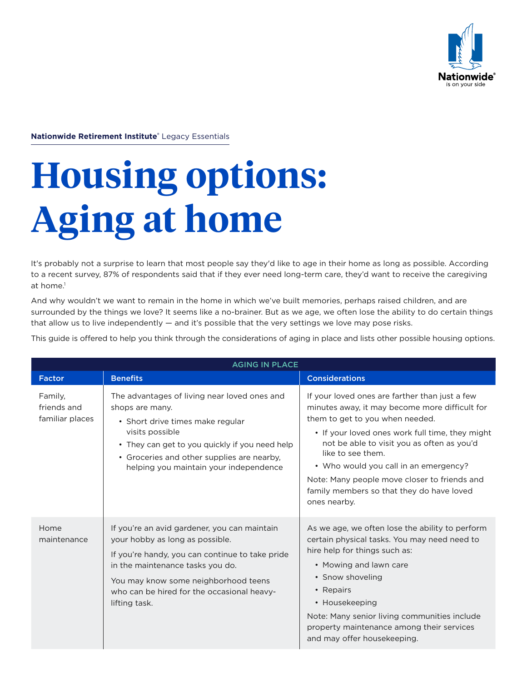

**Nationwide Retirement Institute®** Legacy Essentials

# **Housing options: Aging at home**

It's probably not a surprise to learn that most people say they'd like to age in their home as long as possible. According to a recent survey, 87% of respondents said that if they ever need long-term care, they'd want to receive the caregiving at home.<sup>1</sup>

And why wouldn't we want to remain in the home in which we've built memories, perhaps raised children, and are surrounded by the things we love? It seems like a no-brainer. But as we age, we often lose the ability to do certain things that allow us to live independently — and it's possible that the very settings we love may pose risks.

This guide is offered to help you think through the considerations of aging in place and lists other possible housing options.

| <b>AGING IN PLACE</b>                     |                                                                                                                                                                                                                                                                               |                                                                                                                                                                                                                                                                                                                                                                                                                 |
|-------------------------------------------|-------------------------------------------------------------------------------------------------------------------------------------------------------------------------------------------------------------------------------------------------------------------------------|-----------------------------------------------------------------------------------------------------------------------------------------------------------------------------------------------------------------------------------------------------------------------------------------------------------------------------------------------------------------------------------------------------------------|
| <b>Factor</b>                             | <b>Benefits</b>                                                                                                                                                                                                                                                               | <b>Considerations</b>                                                                                                                                                                                                                                                                                                                                                                                           |
| Family,<br>friends and<br>familiar places | The advantages of living near loved ones and<br>shops are many.<br>• Short drive times make regular<br>visits possible<br>• They can get to you quickly if you need help<br>• Groceries and other supplies are nearby,<br>helping you maintain your independence              | If your loved ones are farther than just a few<br>minutes away, it may become more difficult for<br>them to get to you when needed.<br>• If your loved ones work full time, they might<br>not be able to visit you as often as you'd<br>like to see them.<br>• Who would you call in an emergency?<br>Note: Many people move closer to friends and<br>family members so that they do have loved<br>ones nearby. |
| Home<br>maintenance                       | If you're an avid gardener, you can maintain<br>your hobby as long as possible.<br>If you're handy, you can continue to take pride<br>in the maintenance tasks you do.<br>You may know some neighborhood teens<br>who can be hired for the occasional heavy-<br>lifting task. | As we age, we often lose the ability to perform<br>certain physical tasks. You may need need to<br>hire help for things such as:<br>• Mowing and lawn care<br>• Snow shoveling<br>• Repairs<br>• Housekeeping<br>Note: Many senior living communities include<br>property maintenance among their services<br>and may offer housekeeping.                                                                       |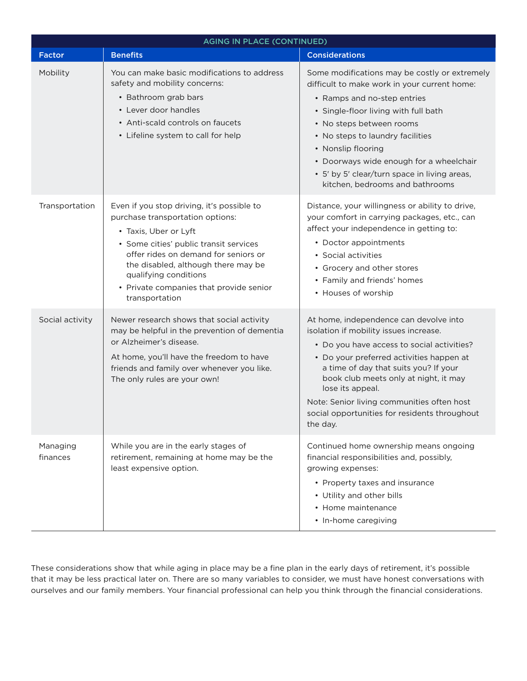| <b>AGING IN PLACE (CONTINUED)</b> |                                                                                                                                                                                                                                                                                                                        |                                                                                                                                                                                                                                                                                                                                                                                             |  |
|-----------------------------------|------------------------------------------------------------------------------------------------------------------------------------------------------------------------------------------------------------------------------------------------------------------------------------------------------------------------|---------------------------------------------------------------------------------------------------------------------------------------------------------------------------------------------------------------------------------------------------------------------------------------------------------------------------------------------------------------------------------------------|--|
| <b>Factor</b>                     | <b>Benefits</b>                                                                                                                                                                                                                                                                                                        | <b>Considerations</b>                                                                                                                                                                                                                                                                                                                                                                       |  |
| Mobility                          | You can make basic modifications to address<br>safety and mobility concerns:<br>• Bathroom grab bars<br>• Lever door handles<br>• Anti-scald controls on faucets<br>• Lifeline system to call for help                                                                                                                 | Some modifications may be costly or extremely<br>difficult to make work in your current home:<br>• Ramps and no-step entries<br>• Single-floor living with full bath<br>• No steps between rooms<br>• No steps to laundry facilities<br>• Nonslip flooring<br>• Doorways wide enough for a wheelchair<br>• 5' by 5' clear/turn space in living areas,<br>kitchen, bedrooms and bathrooms    |  |
| Transportation                    | Even if you stop driving, it's possible to<br>purchase transportation options:<br>• Taxis, Uber or Lyft<br>• Some cities' public transit services<br>offer rides on demand for seniors or<br>the disabled, although there may be<br>qualifying conditions<br>• Private companies that provide senior<br>transportation | Distance, your willingness or ability to drive,<br>your comfort in carrying packages, etc., can<br>affect your independence in getting to:<br>• Doctor appointments<br>• Social activities<br>• Grocery and other stores<br>• Family and friends' homes<br>• Houses of worship                                                                                                              |  |
| Social activity                   | Newer research shows that social activity<br>may be helpful in the prevention of dementia<br>or Alzheimer's disease.<br>At home, you'll have the freedom to have<br>friends and family over whenever you like.<br>The only rules are your own!                                                                         | At home, independence can devolve into<br>isolation if mobility issues increase.<br>• Do you have access to social activities?<br>• Do your preferred activities happen at<br>a time of day that suits you? If your<br>book club meets only at night, it may<br>lose its appeal.<br>Note: Senior living communities often host<br>social opportunities for residents throughout<br>the day. |  |
| Managing<br>finances              | While you are in the early stages of<br>retirement, remaining at home may be the<br>least expensive option.                                                                                                                                                                                                            | Continued home ownership means ongoing<br>financial responsibilities and, possibly,<br>growing expenses:<br>• Property taxes and insurance<br>• Utility and other bills<br>• Home maintenance<br>• In-home caregiving                                                                                                                                                                       |  |

These considerations show that while aging in place may be a fine plan in the early days of retirement, it's possible that it may be less practical later on. There are so many variables to consider, we must have honest conversations with ourselves and our family members. Your financial professional can help you think through the financial considerations.